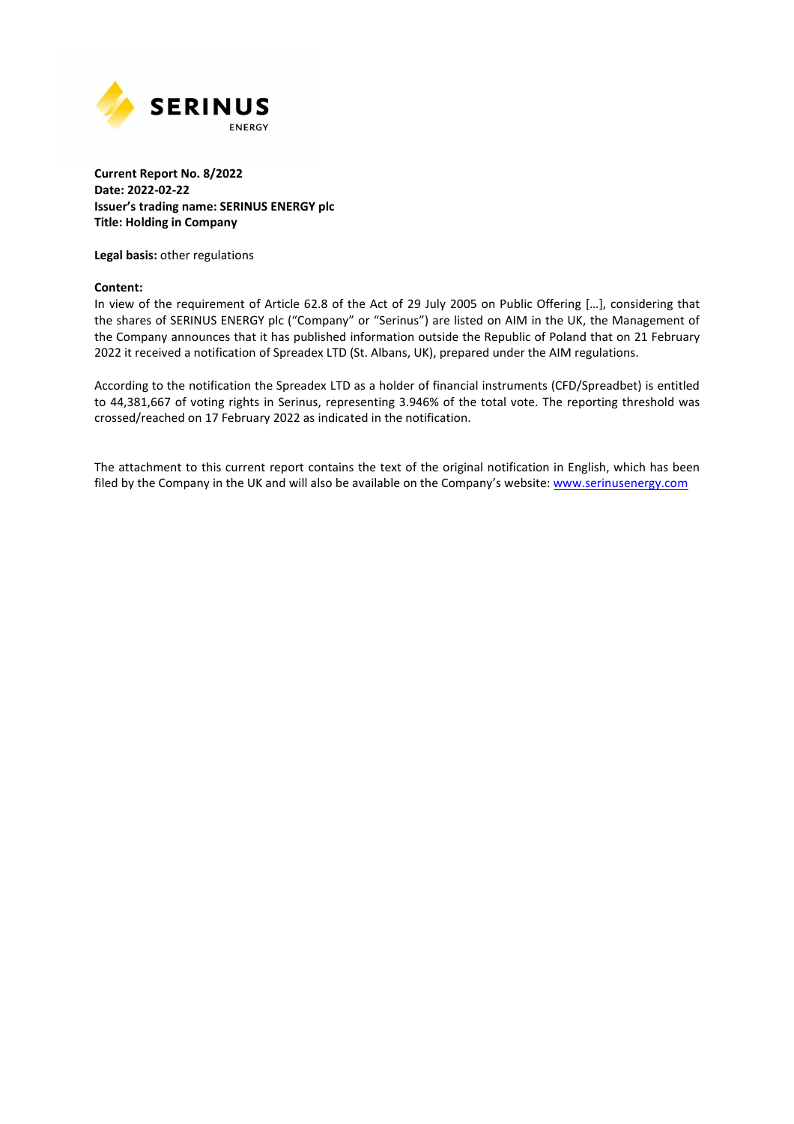

#### **Current Report No. 8/2022 Date: 2022-02-22 Issuer's trading name: SERINUS ENERGY plc Title: Holding in Company**

**Legal basis:** other regulations

#### **Content:**

In view of the requirement of Article 62.8 of the Act of 29 July 2005 on Public Offering […], considering that the shares of SERINUS ENERGY plc ("Company" or "Serinus") are listed on AIM in the UK, the Management of the Company announces that it has published information outside the Republic of Poland that on 21 February 2022 it received a notification of Spreadex LTD (St. Albans, UK), prepared under the AIM regulations.

According to the notification the Spreadex LTD as a holder of financial instruments (CFD/Spreadbet) is entitled to 44,381,667 of voting rights in Serinus, representing 3.946% of the total vote. The reporting threshold was crossed/reached on 17 February 2022 as indicated in the notification.

The attachment to this current report contains the text of the original notification in English, which has been filed by the Company in the UK and will also be available on the Company's website: www.serinusenergy.com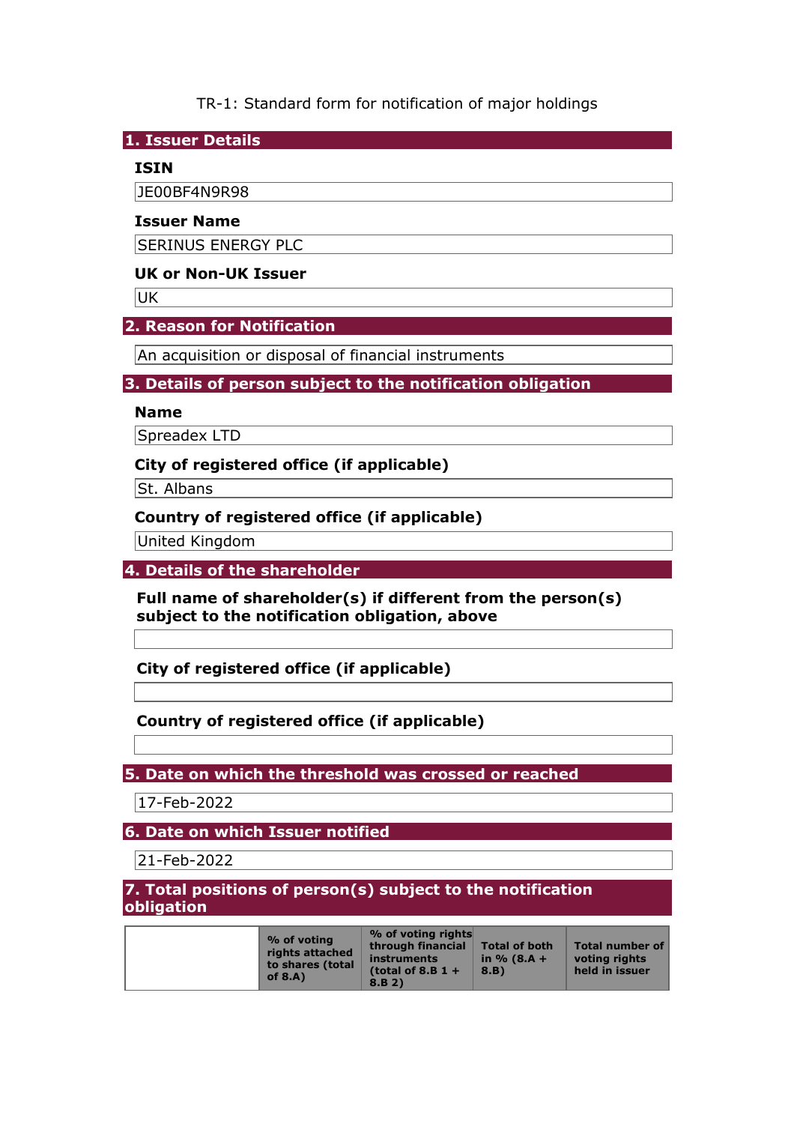TR-1: Standard form for notification of major holdings

**1. Issuer Details** 

### **ISIN**

JE00BF4N9R98

#### **Issuer Name**

SERINUS ENERGY PLC

### **UK or Non-UK Issuer**

UK

### **2. Reason for Notification**

An acquisition or disposal of financial instruments

### **3. Details of person subject to the notification obligation**

#### **Name**

Spreadex LTD

#### **City of registered office (if applicable)**

St. Albans

### **Country of registered office (if applicable)**

United Kingdom

**4. Details of the shareholder** 

**Full name of shareholder(s) if different from the person(s) subject to the notification obligation, above** 

**City of registered office (if applicable)** 

## **Country of registered office (if applicable)**

**5. Date on which the threshold was crossed or reached** 

17-Feb-2022

**6. Date on which Issuer notified** 

21-Feb-2022

**7. Total positions of person(s) subject to the notification obligation** 

| % of voting<br>rights attached<br>to shares (total<br>of $8.A$ ) | % of voting rights<br>through financial<br>instruments<br>(total of 8.B $1 +$<br>8.B.2) | <b>Total of both</b><br>in $% (8.A +$<br>8.B) | <b>Total number of</b><br>voting rights<br>held in issuer |
|------------------------------------------------------------------|-----------------------------------------------------------------------------------------|-----------------------------------------------|-----------------------------------------------------------|
|------------------------------------------------------------------|-----------------------------------------------------------------------------------------|-----------------------------------------------|-----------------------------------------------------------|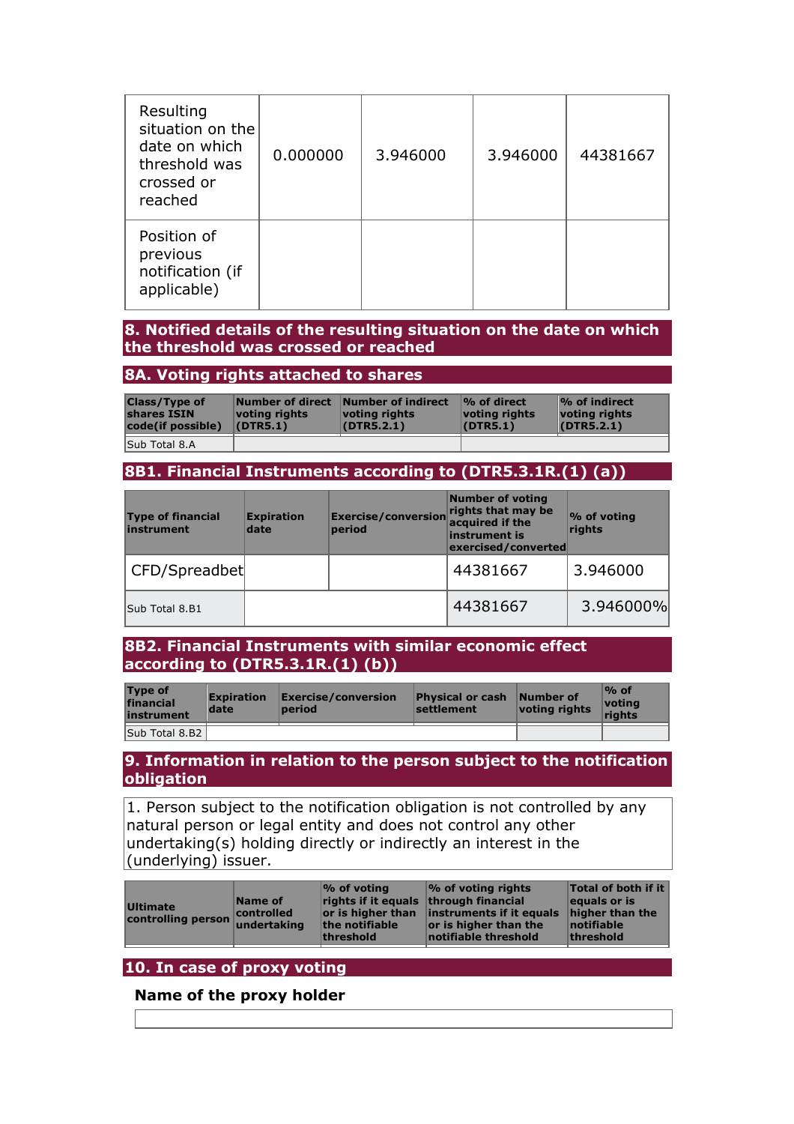| Resulting<br>situation on the<br>date on which<br>threshold was<br>crossed or<br>reached | 0.000000 | 3.946000 | 3.946000 | 44381667 |
|------------------------------------------------------------------------------------------|----------|----------|----------|----------|
| Position of<br>previous<br>notification (if<br>applicable)                               |          |          |          |          |

#### **8. Notified details of the resulting situation on the date on which the threshold was crossed or reached**

### **8A. Voting rights attached to shares**

| <b>Class/Type of</b><br>shares ISIN<br>code(if possible) | votina riahts<br>(DTR5.1) | Number of direct Number of indirect<br>votina riahts<br>(DTR5.2.1) | $\mathcal{O}_0$ of direct<br>voting rights<br>(DTR5.1) | $\frac{1}{2}$ of indirect<br>voting rights<br>(DTR5.2.1) |
|----------------------------------------------------------|---------------------------|--------------------------------------------------------------------|--------------------------------------------------------|----------------------------------------------------------|
| Sub Total 8.A                                            |                           |                                                                    |                                                        |                                                          |

#### **8B1. Financial Instruments according to (DTR5.3.1R.(1) (a))**

| <b>Type of financial</b><br>instrument | <b>Expiration</b><br>date | <b>Exercise/conversion</b><br>period | <b>Number of voting</b><br>rights that may be<br>acquired if the<br>instrument is<br>exercised/converted | % of voting<br>rights |
|----------------------------------------|---------------------------|--------------------------------------|----------------------------------------------------------------------------------------------------------|-----------------------|
| CFD/Spreadbet                          |                           |                                      | 44381667                                                                                                 | 3.946000              |
| Sub Total 8.B1                         |                           |                                      | 44381667                                                                                                 | 3.946000%             |

#### **8B2. Financial Instruments with similar economic effect according to (DTR5.3.1R.(1) (b))**

| <b>Type of</b><br>financial<br>instrument | <b>Expiration</b><br>date | $\mathsf{Exercise}/\mathsf{conversion}$<br>period | <b>Physical or cash</b><br><b>settlement</b> | Number of<br>voting rights | $%$ of<br>votina<br>riahts |
|-------------------------------------------|---------------------------|---------------------------------------------------|----------------------------------------------|----------------------------|----------------------------|
| Sub Total 8.B2                            |                           |                                                   |                                              |                            |                            |

#### **9. Information in relation to the person subject to the notification obligation**

 $|1$ . Person subject to the notification obligation is not controlled by any natural person or legal entity and does not control any other undertaking(s) holding directly or indirectly an interest in the (underlying) issuer.

| <b>Ultimate</b><br>controlling person undertaking | Name of<br>controlled | $\%$ of voting<br>rights if it equals through financial<br>the notifiable<br>threshold | $\sim$ of voting rights<br>or is higher than linstruments if it equals<br>$ $ or is higher than the<br>notifiable threshold | <b>Total of both if it</b><br>equals or is<br>higher than the<br>notifiable<br>threshold |
|---------------------------------------------------|-----------------------|----------------------------------------------------------------------------------------|-----------------------------------------------------------------------------------------------------------------------------|------------------------------------------------------------------------------------------|
|                                                   |                       |                                                                                        |                                                                                                                             |                                                                                          |

## **10. In case of proxy voting**

### **Name of the proxy holder**